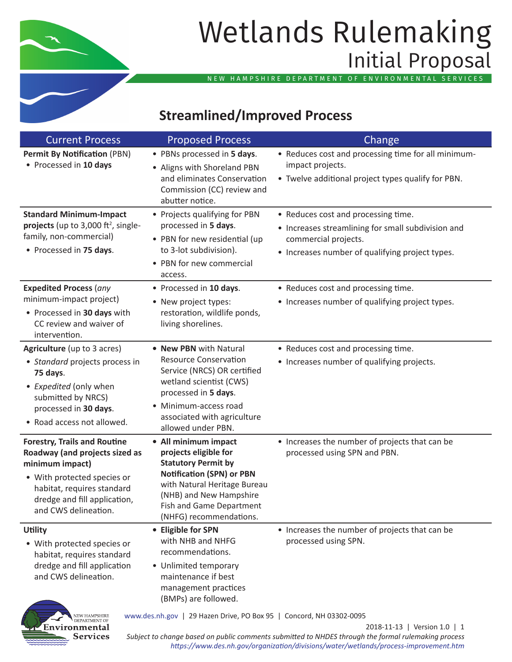

Environmental

Services

# Wetlands Rulemaking Initial Proposal

NEW HAMPSHIRE DEPARTMENT OF ENVIRONMENTAL SERVICES

# **Streamlined/Improved Process**

| <b>Current Process</b>                                                                                                                                                                                        | <b>Proposed Process</b>                                                                                                                                                                                                            | Change                                                                                                                                                               |
|---------------------------------------------------------------------------------------------------------------------------------------------------------------------------------------------------------------|------------------------------------------------------------------------------------------------------------------------------------------------------------------------------------------------------------------------------------|----------------------------------------------------------------------------------------------------------------------------------------------------------------------|
| <b>Permit By Notification (PBN)</b><br>• Processed in 10 days                                                                                                                                                 | • PBNs processed in 5 days.<br>• Aligns with Shoreland PBN<br>and eliminates Conservation<br>Commission (CC) review and<br>abutter notice.                                                                                         | • Reduces cost and processing time for all minimum-<br>impact projects.<br>• Twelve additional project types qualify for PBN.                                        |
| <b>Standard Minimum-Impact</b><br>projects (up to 3,000 ft <sup>2</sup> , single-<br>family, non-commercial)<br>• Processed in 75 days.                                                                       | • Projects qualifying for PBN<br>processed in 5 days.<br>• PBN for new residential (up<br>to 3-lot subdivision).<br>• PBN for new commercial<br>access.                                                                            | • Reduces cost and processing time.<br>• Increases streamlining for small subdivision and<br>commercial projects.<br>• Increases number of qualifying project types. |
| <b>Expedited Process (any</b><br>minimum-impact project)<br>• Processed in 30 days with<br>CC review and waiver of<br>intervention.                                                                           | • Processed in 10 days.<br>• New project types:<br>restoration, wildlife ponds,<br>living shorelines.                                                                                                                              | • Reduces cost and processing time.<br>• Increases number of qualifying project types.                                                                               |
| Agriculture (up to 3 acres)<br>• Standard projects process in<br>75 days.<br>• Expedited (only when<br>submitted by NRCS)<br>processed in 30 days.<br>• Road access not allowed.                              | • New PBN with Natural<br><b>Resource Conservation</b><br>Service (NRCS) OR certified<br>wetland scientist (CWS)<br>processed in 5 days.<br>• Minimum-access road<br>associated with agriculture<br>allowed under PBN.             | • Reduces cost and processing time.<br>• Increases number of qualifying projects.                                                                                    |
| <b>Forestry, Trails and Routine</b><br>Roadway (and projects sized as<br>minimum impact)<br>• With protected species or<br>habitat, requires standard<br>dredge and fill application,<br>and CWS delineation. | • All minimum impact<br>projects eligible for<br><b>Statutory Permit by</b><br><b>Notification (SPN) or PBN</b><br>with Natural Heritage Bureau<br>(NHB) and New Hampshire<br>Fish and Game Department<br>(NHFG) recommendations.  | • Increases the number of projects that can be<br>processed using SPN and PBN.                                                                                       |
| <b>Utility</b><br>• With protected species or<br>habitat, requires standard<br>dredge and fill application<br>and CWS delineation.<br>NEW HAMPSHIRE<br>DEPARTMENT OF                                          | • Eligible for SPN<br>with NHB and NHFG<br>recommendations.<br>• Unlimited temporary<br>maintenance if best<br>management practices<br>(BMPs) are followed.<br>www.des.nh.gov   29 Hazen Drive, PO Box 95   Concord, NH 03302-0095 | • Increases the number of projects that can be<br>processed using SPN.                                                                                               |

2018-11-13 | Version 1.0 | 1 *Subject to change based on public comments submitted to NHDES through the formal rulemaking process <https://www.des.nh.gov/organization/divisions/water/wetlands/process-improvement.htm>*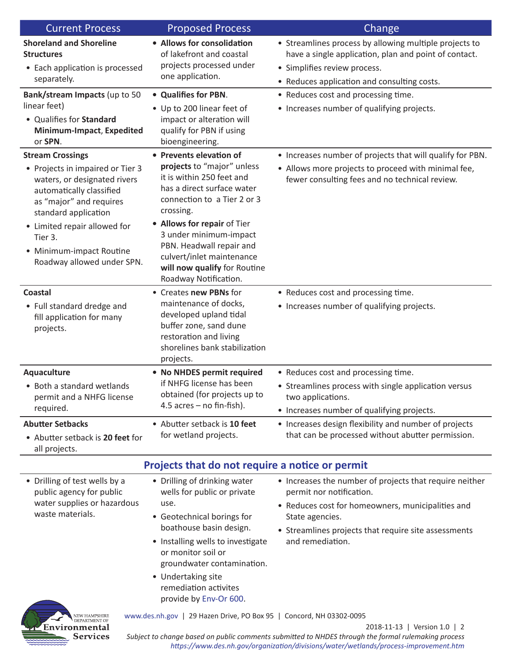| <b>Current Process</b>                                                                                                                                                                                                                                                          | <b>Proposed Process</b>                                                                                                                                                                                                                                                                                                                 | Change                                                                                                                                                                                                                                  |  |  |
|---------------------------------------------------------------------------------------------------------------------------------------------------------------------------------------------------------------------------------------------------------------------------------|-----------------------------------------------------------------------------------------------------------------------------------------------------------------------------------------------------------------------------------------------------------------------------------------------------------------------------------------|-----------------------------------------------------------------------------------------------------------------------------------------------------------------------------------------------------------------------------------------|--|--|
| <b>Shoreland and Shoreline</b><br><b>Structures</b><br>• Each application is processed<br>separately.                                                                                                                                                                           | • Allows for consolidation<br>of lakefront and coastal<br>projects processed under<br>one application.                                                                                                                                                                                                                                  | • Streamlines process by allowing multiple projects to<br>have a single application, plan and point of contact.<br>• Simplifies review process.<br>• Reduces application and consulting costs.                                          |  |  |
| Bank/stream Impacts (up to 50<br>linear feet)<br>• Qualifies for Standard<br>Minimum-Impact, Expedited<br>or SPN.                                                                                                                                                               | • Qualifies for PBN.<br>• Up to 200 linear feet of<br>impact or alteration will<br>qualify for PBN if using<br>bioengineering.                                                                                                                                                                                                          | • Reduces cost and processing time.<br>• Increases number of qualifying projects.                                                                                                                                                       |  |  |
| <b>Stream Crossings</b><br>• Projects in impaired or Tier 3<br>waters, or designated rivers<br>automatically classified<br>as "major" and requires<br>standard application<br>• Limited repair allowed for<br>Tier 3.<br>• Minimum-impact Routine<br>Roadway allowed under SPN. | • Prevents elevation of<br>projects to "major" unless<br>it is within 250 feet and<br>has a direct surface water<br>connection to a Tier 2 or 3<br>crossing.<br>• Allows for repair of Tier<br>3 under minimum-impact<br>PBN. Headwall repair and<br>culvert/inlet maintenance<br>will now qualify for Routine<br>Roadway Notification. | • Increases number of projects that will qualify for PBN.<br>• Allows more projects to proceed with minimal fee,<br>fewer consulting fees and no technical review.                                                                      |  |  |
| <b>Coastal</b><br>• Full standard dredge and<br>fill application for many<br>projects.                                                                                                                                                                                          | • Creates new PBNs for<br>maintenance of docks,<br>developed upland tidal<br>buffer zone, sand dune<br>restoration and living<br>shorelines bank stabilization<br>projects.                                                                                                                                                             | • Reduces cost and processing time.<br>• Increases number of qualifying projects.                                                                                                                                                       |  |  |
| Aquaculture<br>• Both a standard wetlands<br>permit and a NHFG license<br>required.                                                                                                                                                                                             | • No NHDES permit required<br>if NHFG license has been<br>obtained (for projects up to<br>$4.5$ acres – no fin-fish).                                                                                                                                                                                                                   | • Reduces cost and processing time.<br>• Streamlines process with single application versus<br>two applications.<br>• Increases number of qualifying projects.                                                                          |  |  |
| <b>Abutter Setbacks</b><br>• Abutter setback is 20 feet for<br>all projects.                                                                                                                                                                                                    | • Abutter setback is 10 feet<br>for wetland projects.                                                                                                                                                                                                                                                                                   | • Increases design flexibility and number of projects<br>that can be processed without abutter permission.                                                                                                                              |  |  |
| Projects that do not require a notice or permit                                                                                                                                                                                                                                 |                                                                                                                                                                                                                                                                                                                                         |                                                                                                                                                                                                                                         |  |  |
| • Drilling of test wells by a<br>public agency for public<br>water supplies or hazardous<br>waste materials.                                                                                                                                                                    | • Drilling of drinking water<br>wells for public or private<br>use.<br>• Geotechnical borings for<br>boathouse basin design.<br>• Installing wells to investigate<br>or monitor soil or<br>groundwater contamination.<br>• Undertaking site<br>remediation activites<br>provide by Env-Or 600.                                          | • Increases the number of projects that require neither<br>permit nor notification.<br>• Reduces cost for homeowners, municipalities and<br>State agencies.<br>• Streamlines projects that require site assessments<br>and remediation. |  |  |
| Environmental                                                                                                                                                                                                                                                                   | www.des.nh.gov   29 Hazen Drive, PO Box 95   Concord, NH 03302-0095                                                                                                                                                                                                                                                                     | 2018-11-13   Version 1.0   2                                                                                                                                                                                                            |  |  |

2018-11-13 | Version 1.0 | 2 *Subject to change based on public comments submitted to NHDES through the formal rulemaking process <https://www.des.nh.gov/organization/divisions/water/wetlands/process-improvement.htm>*

**Services**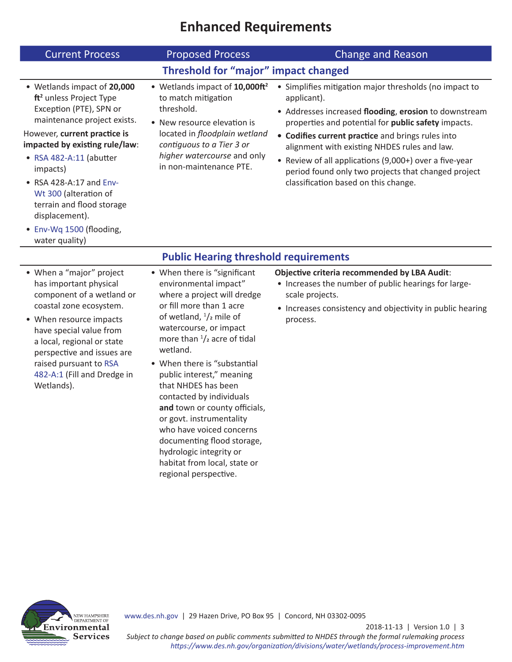### **Enhanced Requirements**

| <b>Current Process</b>                                                                                                                                                                                                                                                                                                                                                                         | <b>Proposed Process</b>                                                                                                                                                                                                                | <b>Change and Reason</b>                                                                                                                                                                                                                                                                                                                                                                                                                                   |  |  |
|------------------------------------------------------------------------------------------------------------------------------------------------------------------------------------------------------------------------------------------------------------------------------------------------------------------------------------------------------------------------------------------------|----------------------------------------------------------------------------------------------------------------------------------------------------------------------------------------------------------------------------------------|------------------------------------------------------------------------------------------------------------------------------------------------------------------------------------------------------------------------------------------------------------------------------------------------------------------------------------------------------------------------------------------------------------------------------------------------------------|--|--|
|                                                                                                                                                                                                                                                                                                                                                                                                | Threshold for "major" impact changed                                                                                                                                                                                                   |                                                                                                                                                                                                                                                                                                                                                                                                                                                            |  |  |
| • Wetlands impact of 20,000<br>ft <sup>2</sup> unless Project Type<br>Exception (PTE), SPN or<br>maintenance project exists.<br>However, current practice is<br>impacted by existing rule/law:<br>• RSA 482-A:11 (abutter<br>impacts)<br>$\bullet$ RSA 428-A:17 and Env-<br>Wt 300 (alteration of<br>terrain and flood storage<br>displacement).<br>• Env-Wq 1500 (flooding,<br>water quality) | • Wetlands impact of 10,000ft <sup>2</sup><br>to match mitigation<br>threshold.<br>• New resource elevation is<br>located in floodplain wetland<br>contiguous to a Tier 3 or<br>higher watercourse and only<br>in non-maintenance PTE. | • Simplifies mitigation major thresholds (no impact to<br>applicant).<br>• Addresses increased flooding, erosion to downstream<br>properties and potential for <b>public safety</b> impacts.<br>• Codifies current practice and brings rules into<br>alignment with existing NHDES rules and law.<br>• Review of all applications (9,000+) over a five-year<br>period found only two projects that changed project<br>classification based on this change. |  |  |
| <b>Public Hearing threshold requirements</b>                                                                                                                                                                                                                                                                                                                                                   |                                                                                                                                                                                                                                        |                                                                                                                                                                                                                                                                                                                                                                                                                                                            |  |  |

- When a "major" project has important physical component of a wetland or coastal zone ecosystem.
- When resource impacts have special value from a local, regional or state perspective and issues are raised pursuant to [RSA](http://www.gencourt.state.nh.us/rsa/html/l/482-a/482-a-mrg.htm)  [482-A:1](http://www.gencourt.state.nh.us/rsa/html/l/482-a/482-a-mrg.htm) (Fill and Dredge in Wetlands).
- When there is "significant environmental impact" where a project will dredge or fill more than 1 acre of wetland,  $\frac{1}{2}$  mile of watercourse, or impact more than  $\frac{1}{2}$  acre of tidal wetland.
- When there is "substantial public interest," meaning that NHDES has been contacted by individuals **and** town or county officials, or govt. instrumentality who have voiced concerns documenting flood storage, hydrologic integrity or habitat from local, state or regional perspective.

#### **Objective criteria recommended by LBA Audit**:

- Increases the number of public hearings for largescale projects.
- Increases consistency and objectivity in public hearing process.



<www.des.nh.gov> | 29 Hazen Drive, PO Box 95 | Concord, NH 03302-0095

2018-11-13 | Version 1.0 | 3

*Subject to change based on public comments submitted to NHDES through the formal rulemaking process <https://www.des.nh.gov/organization/divisions/water/wetlands/process-improvement.htm>*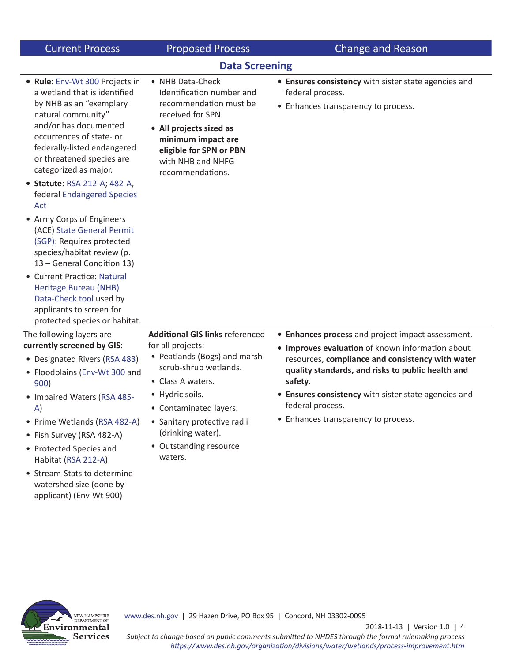| <b>Current Process</b>                                                                                                                                                                                                                                                                                                                                                                                                                                                                                                                                                                                                                    | <b>Proposed Process</b>                                                                                                                                                                                                                                                         | <b>Change and Reason</b>                                                                                                                                                                                                                                                                                                                     |  |  |
|-------------------------------------------------------------------------------------------------------------------------------------------------------------------------------------------------------------------------------------------------------------------------------------------------------------------------------------------------------------------------------------------------------------------------------------------------------------------------------------------------------------------------------------------------------------------------------------------------------------------------------------------|---------------------------------------------------------------------------------------------------------------------------------------------------------------------------------------------------------------------------------------------------------------------------------|----------------------------------------------------------------------------------------------------------------------------------------------------------------------------------------------------------------------------------------------------------------------------------------------------------------------------------------------|--|--|
| <b>Data Screening</b>                                                                                                                                                                                                                                                                                                                                                                                                                                                                                                                                                                                                                     |                                                                                                                                                                                                                                                                                 |                                                                                                                                                                                                                                                                                                                                              |  |  |
| • Rule: Env-Wt 300 Projects in<br>a wetland that is identified<br>by NHB as an "exemplary<br>natural community"<br>and/or has documented<br>occurrences of state- or<br>federally-listed endangered<br>or threatened species are<br>categorized as major.<br>• Statute: RSA 212-A; 482-A,<br>federal Endangered Species<br>Act<br>• Army Corps of Engineers<br>(ACE) State General Permit<br>(SGP): Requires protected<br>species/habitat review (p.<br>13 - General Condition 13)<br>• Current Practice: Natural<br><b>Heritage Bureau (NHB)</b><br>Data-Check tool used by<br>applicants to screen for<br>protected species or habitat. | • NHB Data-Check<br>Identification number and<br>recommendation must be<br>received for SPN.<br>• All projects sized as<br>minimum impact are<br>eligible for SPN or PBN<br>with NHB and NHFG<br>recommendations.                                                               | • Ensures consistency with sister state agencies and<br>federal process.<br>• Enhances transparency to process.                                                                                                                                                                                                                              |  |  |
| The following layers are<br>currently screened by GIS:<br>• Designated Rivers (RSA 483)<br>• Floodplains (Env-Wt 300 and<br>900)<br>• Impaired Waters (RSA 485-<br>A)<br>• Prime Wetlands (RSA 482-A)<br>• Fish Survey (RSA 482-A)<br>• Protected Species and<br>Habitat (RSA 212-A)<br>• Stream-Stats to determine<br>watershed size (done by<br>applicant) (Env-Wt 900)                                                                                                                                                                                                                                                                 | <b>Additional GIS links referenced</b><br>for all projects:<br>• Peatlands (Bogs) and marsh<br>scrub-shrub wetlands.<br>• Class A waters.<br>• Hydric soils.<br>• Contaminated layers.<br>• Sanitary protective radii<br>(drinking water).<br>• Outstanding resource<br>waters. | • Enhances process and project impact assessment.<br>• Improves evaluation of known information about<br>resources, compliance and consistency with water<br>quality standards, and risks to public health and<br>safety.<br>• Ensures consistency with sister state agencies and<br>federal process.<br>• Enhances transparency to process. |  |  |



2018-11-13 | Version 1.0 | 4